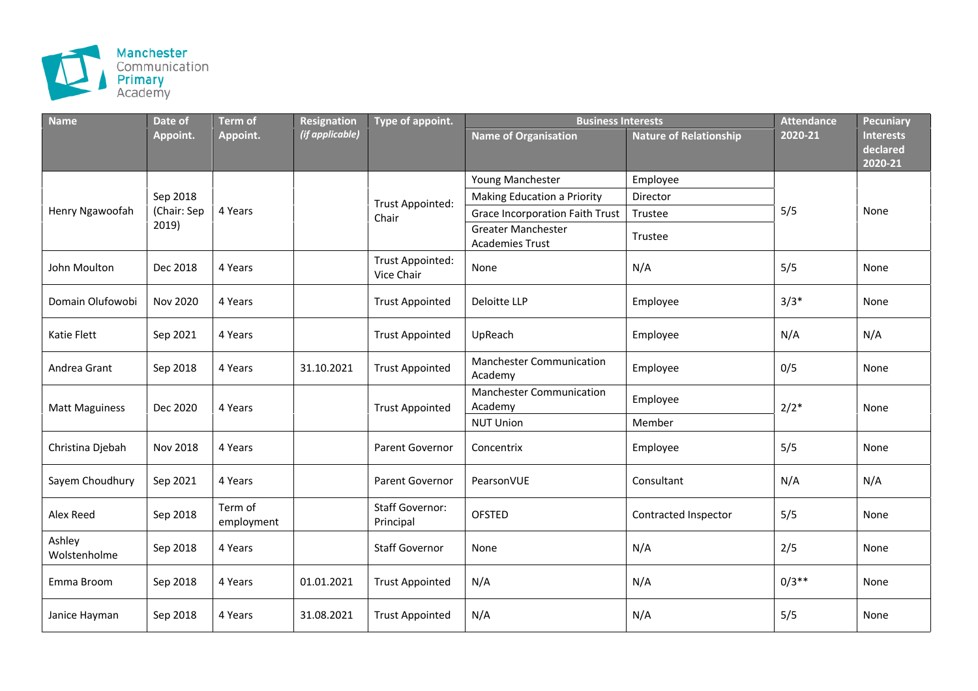

| <b>Name</b>            | Date of                          | <b>Term of</b>        | Resignation     | Type of appoint.                      | <b>Business Interests</b>                           |                               | <b>Attendance</b> | Pecuniary                               |
|------------------------|----------------------------------|-----------------------|-----------------|---------------------------------------|-----------------------------------------------------|-------------------------------|-------------------|-----------------------------------------|
|                        | Appoint.                         | Appoint.              | (if applicable) |                                       | <b>Name of Organisation</b>                         | <b>Nature of Relationship</b> | 2020-21           | <b>Interests</b><br>declared<br>2020-21 |
| Henry Ngawoofah        | Sep 2018<br>(Chair: Sep<br>2019) | 4 Years               |                 |                                       | Young Manchester                                    | Employee                      | 5/5               | None                                    |
|                        |                                  |                       |                 | <b>Trust Appointed:</b><br>Chair      | Making Education a Priority                         | Director                      |                   |                                         |
|                        |                                  |                       |                 |                                       | Grace Incorporation Faith Trust                     | Trustee                       |                   |                                         |
|                        |                                  |                       |                 |                                       | <b>Greater Manchester</b><br><b>Academies Trust</b> | Trustee                       |                   |                                         |
| John Moulton           | Dec 2018                         | 4 Years               |                 | <b>Trust Appointed:</b><br>Vice Chair | None                                                | N/A                           | 5/5               | None                                    |
| Domain Olufowobi       | Nov 2020                         | 4 Years               |                 | <b>Trust Appointed</b>                | Deloitte LLP                                        | Employee                      | $3/3*$            | None                                    |
| Katie Flett            | Sep 2021                         | 4 Years               |                 | <b>Trust Appointed</b>                | UpReach                                             | Employee                      | N/A               | N/A                                     |
| Andrea Grant           | Sep 2018                         | 4 Years               | 31.10.2021      | <b>Trust Appointed</b>                | <b>Manchester Communication</b><br>Academy          | Employee                      | 0/5               | None                                    |
| <b>Matt Maguiness</b>  | Dec 2020                         | 4 Years               |                 | <b>Trust Appointed</b>                | <b>Manchester Communication</b><br>Academy          | Employee                      | $2/2*$            | None                                    |
|                        |                                  |                       |                 |                                       | <b>NUT Union</b>                                    | Member                        |                   |                                         |
| Christina Djebah       | Nov 2018                         | 4 Years               |                 | Parent Governor                       | Concentrix                                          | Employee                      | 5/5               | None                                    |
| Sayem Choudhury        | Sep 2021                         | 4 Years               |                 | Parent Governor                       | PearsonVUE                                          | Consultant                    | N/A               | N/A                                     |
| Alex Reed              | Sep 2018                         | Term of<br>employment |                 | <b>Staff Governor:</b><br>Principal   | <b>OFSTED</b>                                       | Contracted Inspector          | 5/5               | None                                    |
| Ashley<br>Wolstenholme | Sep 2018                         | 4 Years               |                 | <b>Staff Governor</b>                 | None                                                | N/A                           | 2/5               | None                                    |
| Emma Broom             | Sep 2018                         | 4 Years               | 01.01.2021      | <b>Trust Appointed</b>                | N/A                                                 | N/A                           | $0/3**$           | None                                    |
| Janice Hayman          | Sep 2018                         | 4 Years               | 31.08.2021      | <b>Trust Appointed</b>                | N/A                                                 | N/A                           | 5/5               | None                                    |